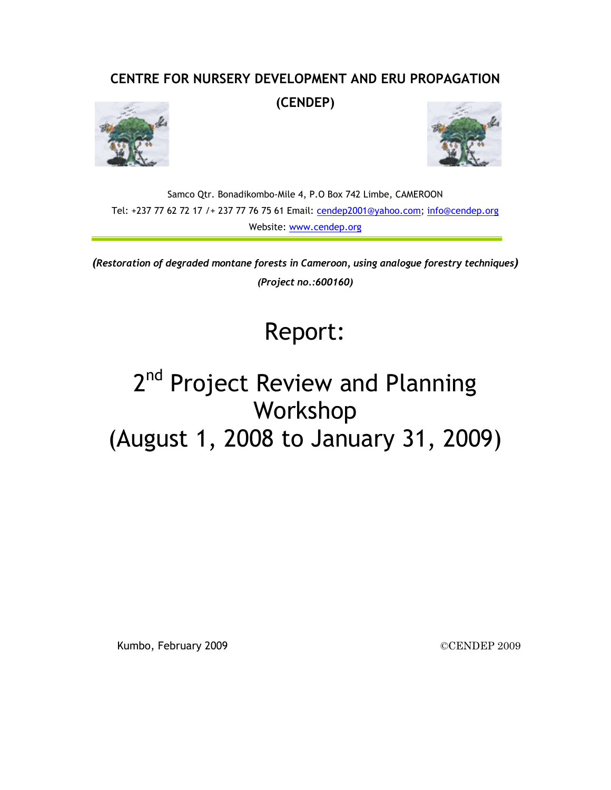### **CENTRE FOR NURSERY DEVELOPMENT AND ERU PROPAGATION**

**(CENDEP)** 





Samco Qtr. Bonadikombo-Mile 4, P.O Box 742 Limbe, CAMEROON Tel: +237 77 62 72 17 /+ 237 77 76 75 61 Email: cendep2001@yahoo.com; info@cendep.org Website: www.cendep.org

*(Restoration of degraded montane forests in Cameroon, using analogue forestry techniques) (Project no.:600160)* 

## Report:

# 2<sup>nd</sup> Project Review and Planning Workshop (August 1, 2008 to January 31, 2009)

Kumbo, February 2009 **CENDEP** 2009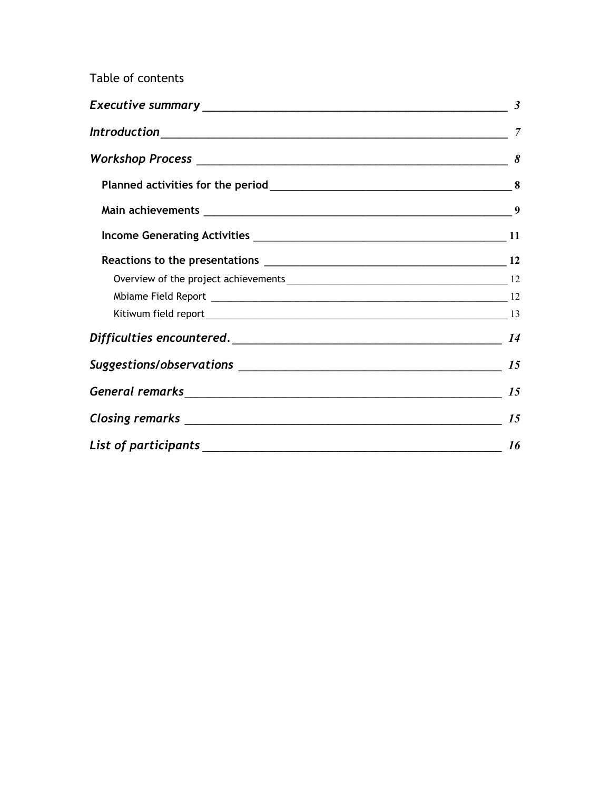### Table of contents

|  | 15                     |
|--|------------------------|
|  |                        |
|  | $\frac{16}{\sqrt{25}}$ |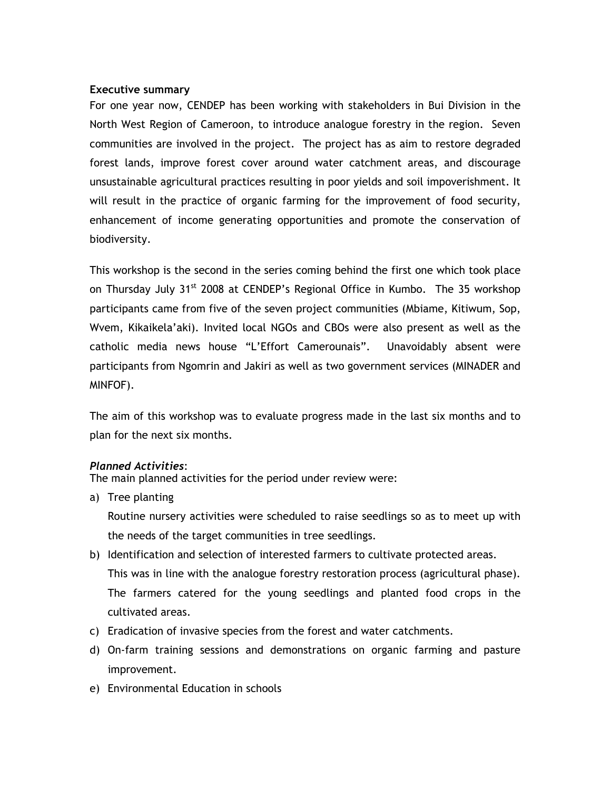#### **Executive summary**

For one year now, CENDEP has been working with stakeholders in Bui Division in the North West Region of Cameroon, to introduce analogue forestry in the region. Seven communities are involved in the project. The project has as aim to restore degraded forest lands, improve forest cover around water catchment areas, and discourage unsustainable agricultural practices resulting in poor yields and soil impoverishment. It will result in the practice of organic farming for the improvement of food security, enhancement of income generating opportunities and promote the conservation of biodiversity.

This workshop is the second in the series coming behind the first one which took place on Thursday July 31<sup>st</sup> 2008 at CENDEP's Regional Office in Kumbo. The 35 workshop participants came from five of the seven project communities (Mbiame, Kitiwum, Sop, Wvem, Kikaikela'aki). Invited local NGOs and CBOs were also present as well as the catholic media news house "L'Effort Camerounais". Unavoidably absent were participants from Ngomrin and Jakiri as well as two government services (MINADER and MINFOF).

The aim of this workshop was to evaluate progress made in the last six months and to plan for the next six months.

#### *Planned Activities*:

The main planned activities for the period under review were:

a) Tree planting

Routine nursery activities were scheduled to raise seedlings so as to meet up with the needs of the target communities in tree seedlings.

- b) Identification and selection of interested farmers to cultivate protected areas. This was in line with the analogue forestry restoration process (agricultural phase). The farmers catered for the young seedlings and planted food crops in the cultivated areas.
- c) Eradication of invasive species from the forest and water catchments.
- d) On-farm training sessions and demonstrations on organic farming and pasture improvement.
- e) Environmental Education in schools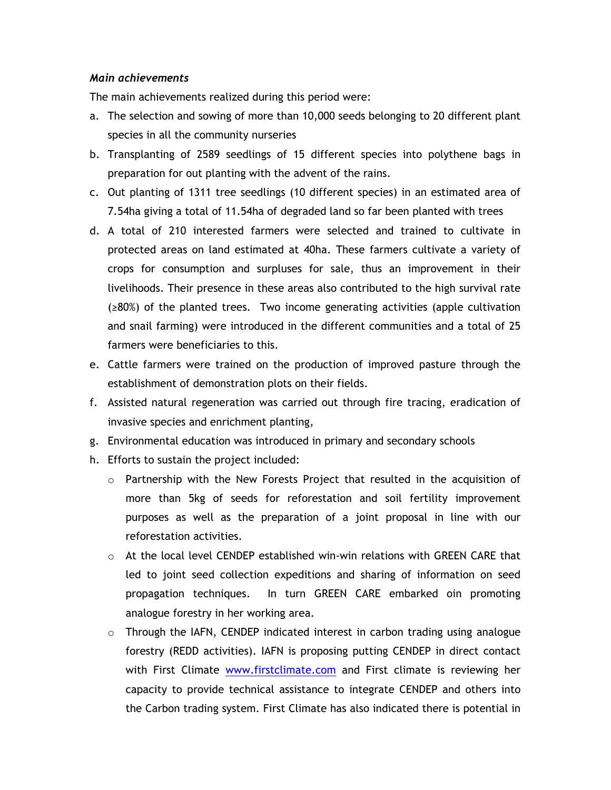#### *Main achievements*

The main achievements realized during this period were:

- a. The selection and sowing of more than 10,000 seeds belonging to 20 different plant species in all the community nurseries
- b. Transplanting of 2589 seedlings of 15 different species into polythene bags in preparation for out planting with the advent of the rains.
- c. Out planting of 1311 tree seedlings (10 different species) in an estimated area of 7.54ha giving a total of 11.54ha of degraded land so far been planted with trees
- d. A total of 210 interested farmers were selected and trained to cultivate in protected areas on land estimated at 40ha. These farmers cultivate a variety of crops for consumption and surpluses for sale, thus an improvement in their livelihoods. Their presence in these areas also contributed to the high survival rate (≥80%) of the planted trees. Two income generating activities (apple cultivation and snail farming) were introduced in the different communities and a total of 25 farmers were beneficiaries to this.
- e. Cattle farmers were trained on the production of improved pasture through the establishment of demonstration plots on their fields.
- f. Assisted natural regeneration was carried out through fire tracing, eradication of invasive species and enrichment planting,
- g. Environmental education was introduced in primary and secondary schools
- h. Efforts to sustain the project included:
	- $\circ$  Partnership with the New Forests Project that resulted in the acquisition of more than 5kg of seeds for reforestation and soil fertility improvement purposes as well as the preparation of a joint proposal in line with our reforestation activities.
	- o At the local level CENDEP established win-win relations with GREEN CARE that led to joint seed collection expeditions and sharing of information on seed propagation techniques. In turn GREEN CARE embarked oin promoting analogue forestry in her working area.
	- $\circ$  Through the IAFN, CENDEP indicated interest in carbon trading using analogue forestry (REDD activities). IAFN is proposing putting CENDEP in direct contact with First Climate www.firstclimate.com and First climate is reviewing her capacity to provide technical assistance to integrate CENDEP and others into the Carbon trading system. First Climate has also indicated there is potential in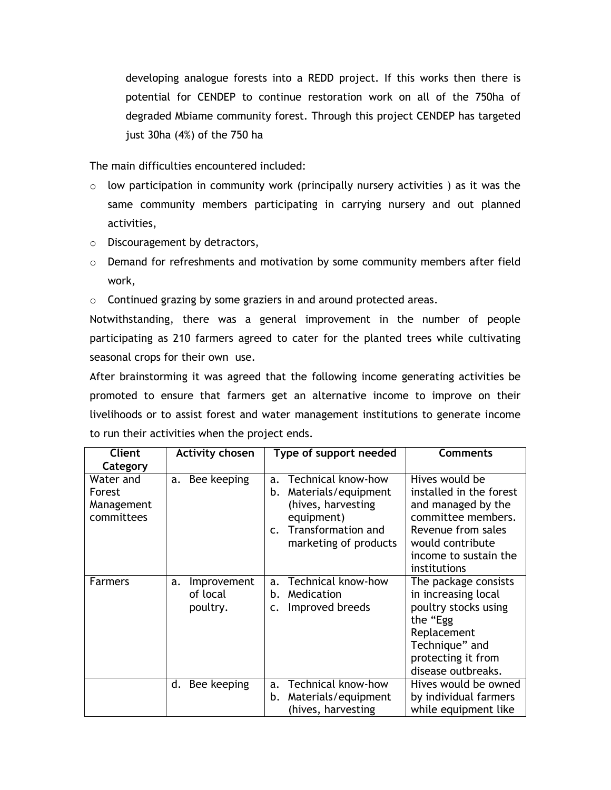developing analogue forests into a REDD project. If this works then there is potential for CENDEP to continue restoration work on all of the 750ha of degraded Mbiame community forest. Through this project CENDEP has targeted just 30ha (4%) of the 750 ha

The main difficulties encountered included:

- $\circ$  low participation in community work (principally nursery activities) as it was the same community members participating in carrying nursery and out planned activities,
- o Discouragement by detractors,
- o Demand for refreshments and motivation by some community members after field work,
- $\circ$  Continued grazing by some graziers in and around protected areas.

Notwithstanding, there was a general improvement in the number of people participating as 210 farmers agreed to cater for the planted trees while cultivating seasonal crops for their own use.

After brainstorming it was agreed that the following income generating activities be promoted to ensure that farmers get an alternative income to improve on their livelihoods or to assist forest and water management institutions to generate income to run their activities when the project ends.

| Client                                          | <b>Activity chosen</b>                    | Type of support needed                                                                                                                                     | <b>Comments</b>                                                                                                                                                          |
|-------------------------------------------------|-------------------------------------------|------------------------------------------------------------------------------------------------------------------------------------------------------------|--------------------------------------------------------------------------------------------------------------------------------------------------------------------------|
| Category                                        |                                           |                                                                                                                                                            |                                                                                                                                                                          |
| Water and<br>Forest<br>Management<br>committees | a. Bee keeping                            | Technical know-how<br>a.<br>Materials/equipment<br>b.<br>(hives, harvesting<br>equipment)<br>Transformation and<br>$\mathsf{C}$ .<br>marketing of products | Hives would be<br>installed in the forest<br>and managed by the<br>committee members.<br>Revenue from sales<br>would contribute<br>income to sustain the<br>institutions |
| <b>Farmers</b>                                  | Improvement<br>a.<br>of local<br>poultry. | Technical know-how<br>a <sub>z</sub><br>Medication<br>b.<br>Improved breeds<br>c.                                                                          | The package consists<br>in increasing local<br>poultry stocks using<br>the "Egg<br>Replacement<br>Technique" and<br>protecting it from<br>disease outbreaks.             |
|                                                 | d. Bee keeping                            | Technical know-how<br>a.<br>Materials/equipment<br>b.<br>(hives, harvesting                                                                                | Hives would be owned<br>by individual farmers<br>while equipment like                                                                                                    |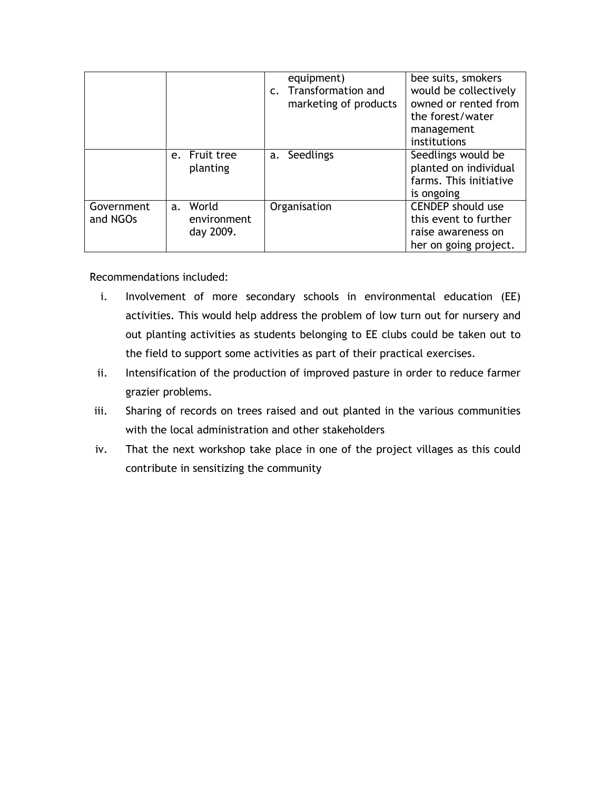|                        |                                      | equipment)<br>c. Transformation and<br>marketing of products | bee suits, smokers<br>would be collectively<br>owned or rented from<br>the forest/water<br>management<br>institutions |
|------------------------|--------------------------------------|--------------------------------------------------------------|-----------------------------------------------------------------------------------------------------------------------|
|                        | e. Fruit tree<br>planting            | Seedlings<br>a.                                              | Seedlings would be<br>planted on individual<br>farms. This initiative<br>is ongoing                                   |
| Government<br>and NGOs | a. World<br>environment<br>day 2009. | Organisation                                                 | <b>CENDEP</b> should use<br>this event to further<br>raise awareness on<br>her on going project.                      |

Recommendations included:

- i. Involvement of more secondary schools in environmental education (EE) activities. This would help address the problem of low turn out for nursery and out planting activities as students belonging to EE clubs could be taken out to the field to support some activities as part of their practical exercises.
- ii. Intensification of the production of improved pasture in order to reduce farmer grazier problems.
- iii. Sharing of records on trees raised and out planted in the various communities with the local administration and other stakeholders
- iv. That the next workshop take place in one of the project villages as this could contribute in sensitizing the community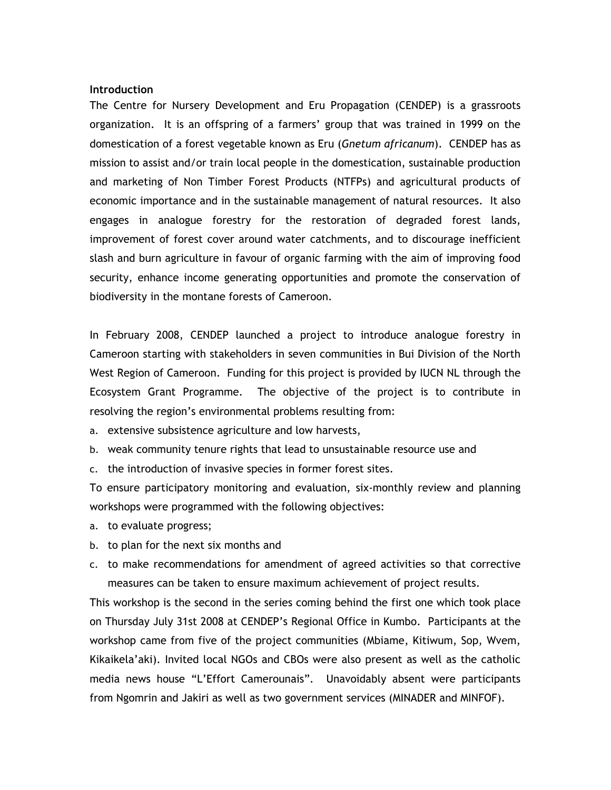#### **Introduction**

The Centre for Nursery Development and Eru Propagation (CENDEP) is a grassroots organization. It is an offspring of a farmers' group that was trained in 1999 on the domestication of a forest vegetable known as Eru (*Gnetum africanum*). CENDEP has as mission to assist and/or train local people in the domestication, sustainable production and marketing of Non Timber Forest Products (NTFPs) and agricultural products of economic importance and in the sustainable management of natural resources. It also engages in analogue forestry for the restoration of degraded forest lands, improvement of forest cover around water catchments, and to discourage inefficient slash and burn agriculture in favour of organic farming with the aim of improving food security, enhance income generating opportunities and promote the conservation of biodiversity in the montane forests of Cameroon.

In February 2008, CENDEP launched a project to introduce analogue forestry in Cameroon starting with stakeholders in seven communities in Bui Division of the North West Region of Cameroon. Funding for this project is provided by IUCN NL through the Ecosystem Grant Programme. The objective of the project is to contribute in resolving the region's environmental problems resulting from:

a. extensive subsistence agriculture and low harvests,

- b. weak community tenure rights that lead to unsustainable resource use and
- c. the introduction of invasive species in former forest sites.

To ensure participatory monitoring and evaluation, six-monthly review and planning workshops were programmed with the following objectives:

- a. to evaluate progress;
- b. to plan for the next six months and
- c. to make recommendations for amendment of agreed activities so that corrective measures can be taken to ensure maximum achievement of project results.

This workshop is the second in the series coming behind the first one which took place on Thursday July 31st 2008 at CENDEP's Regional Office in Kumbo. Participants at the workshop came from five of the project communities (Mbiame, Kitiwum, Sop, Wvem, Kikaikela'aki). Invited local NGOs and CBOs were also present as well as the catholic media news house "L'Effort Camerounais". Unavoidably absent were participants from Ngomrin and Jakiri as well as two government services (MINADER and MINFOF).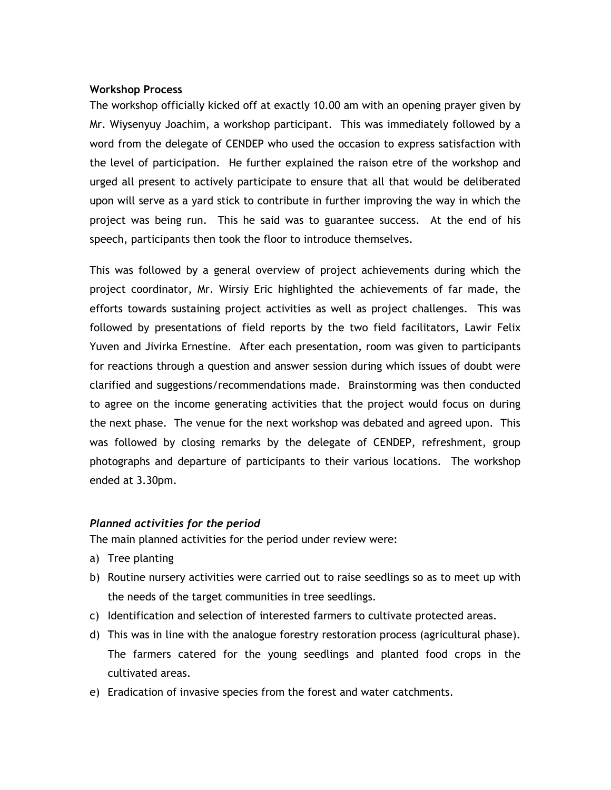#### **Workshop Process**

The workshop officially kicked off at exactly 10.00 am with an opening prayer given by Mr. Wiysenyuy Joachim, a workshop participant. This was immediately followed by a word from the delegate of CENDEP who used the occasion to express satisfaction with the level of participation. He further explained the raison etre of the workshop and urged all present to actively participate to ensure that all that would be deliberated upon will serve as a yard stick to contribute in further improving the way in which the project was being run. This he said was to guarantee success. At the end of his speech, participants then took the floor to introduce themselves.

This was followed by a general overview of project achievements during which the project coordinator, Mr. Wirsiy Eric highlighted the achievements of far made, the efforts towards sustaining project activities as well as project challenges. This was followed by presentations of field reports by the two field facilitators, Lawir Felix Yuven and Jivirka Ernestine. After each presentation, room was given to participants for reactions through a question and answer session during which issues of doubt were clarified and suggestions/recommendations made. Brainstorming was then conducted to agree on the income generating activities that the project would focus on during the next phase. The venue for the next workshop was debated and agreed upon. This was followed by closing remarks by the delegate of CENDEP, refreshment, group photographs and departure of participants to their various locations. The workshop ended at 3.30pm.

#### *Planned activities for the period*

The main planned activities for the period under review were:

- a) Tree planting
- b) Routine nursery activities were carried out to raise seedlings so as to meet up with the needs of the target communities in tree seedlings.
- c) Identification and selection of interested farmers to cultivate protected areas.
- d) This was in line with the analogue forestry restoration process (agricultural phase). The farmers catered for the young seedlings and planted food crops in the cultivated areas.
- e) Eradication of invasive species from the forest and water catchments.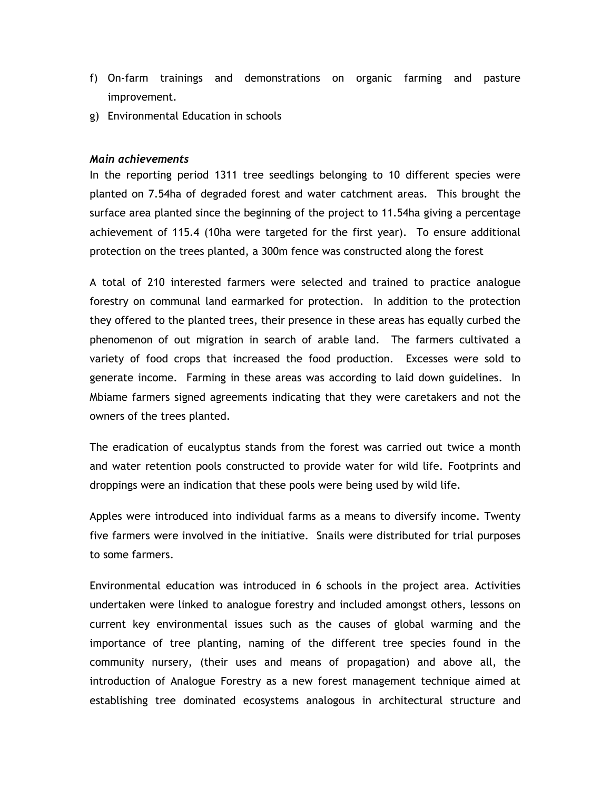- f) On-farm trainings and demonstrations on organic farming and pasture improvement.
- g) Environmental Education in schools

#### *Main achievements*

In the reporting period 1311 tree seedlings belonging to 10 different species were planted on 7.54ha of degraded forest and water catchment areas. This brought the surface area planted since the beginning of the project to 11.54ha giving a percentage achievement of 115.4 (10ha were targeted for the first year). To ensure additional protection on the trees planted, a 300m fence was constructed along the forest

A total of 210 interested farmers were selected and trained to practice analogue forestry on communal land earmarked for protection. In addition to the protection they offered to the planted trees, their presence in these areas has equally curbed the phenomenon of out migration in search of arable land. The farmers cultivated a variety of food crops that increased the food production. Excesses were sold to generate income. Farming in these areas was according to laid down guidelines. In Mbiame farmers signed agreements indicating that they were caretakers and not the owners of the trees planted.

The eradication of eucalyptus stands from the forest was carried out twice a month and water retention pools constructed to provide water for wild life. Footprints and droppings were an indication that these pools were being used by wild life.

Apples were introduced into individual farms as a means to diversify income. Twenty five farmers were involved in the initiative. Snails were distributed for trial purposes to some farmers.

Environmental education was introduced in 6 schools in the project area. Activities undertaken were linked to analogue forestry and included amongst others, lessons on current key environmental issues such as the causes of global warming and the importance of tree planting, naming of the different tree species found in the community nursery, (their uses and means of propagation) and above all, the introduction of Analogue Forestry as a new forest management technique aimed at establishing tree dominated ecosystems analogous in architectural structure and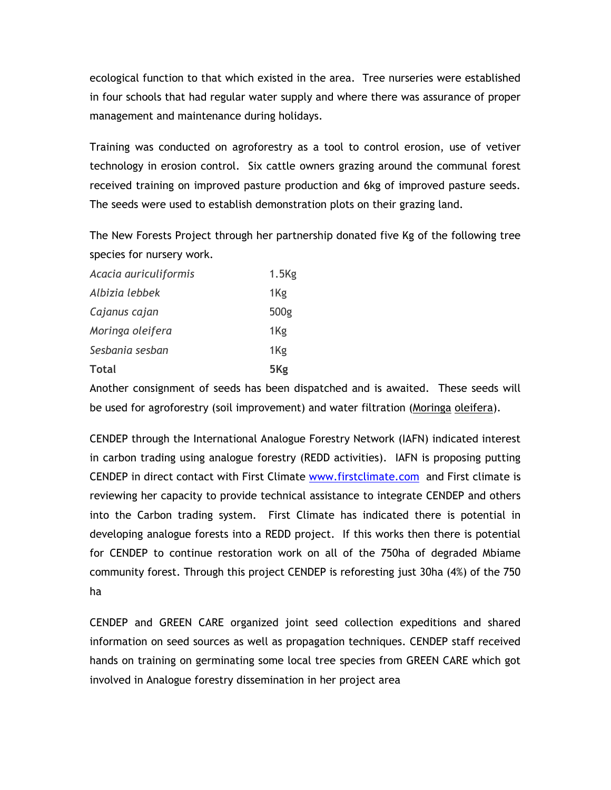ecological function to that which existed in the area. Tree nurseries were established in four schools that had regular water supply and where there was assurance of proper management and maintenance during holidays.

Training was conducted on agroforestry as a tool to control erosion, use of vetiver technology in erosion control. Six cattle owners grazing around the communal forest received training on improved pasture production and 6kg of improved pasture seeds. The seeds were used to establish demonstration plots on their grazing land.

The New Forests Project through her partnership donated five Kg of the following tree species for nursery work.

| Acacia auriculiformis | $1.5$ Kg        |
|-----------------------|-----------------|
| Albizia lebbek        | 1Kg             |
| Cajanus cajan         | 500g            |
| Moringa oleifera      | 1Kg             |
| Sesbania sesban       | 1Kg             |
| <b>Total</b>          | 5 <sub>Kg</sub> |

Another consignment of seeds has been dispatched and is awaited. These seeds will be used for agroforestry (soil improvement) and water filtration (Moringa oleifera).

CENDEP through the International Analogue Forestry Network (IAFN) indicated interest in carbon trading using analogue forestry (REDD activities). IAFN is proposing putting CENDEP in direct contact with First Climate www.firstclimate.com and First climate is reviewing her capacity to provide technical assistance to integrate CENDEP and others into the Carbon trading system. First Climate has indicated there is potential in developing analogue forests into a REDD project. If this works then there is potential for CENDEP to continue restoration work on all of the 750ha of degraded Mbiame community forest. Through this project CENDEP is reforesting just 30ha (4%) of the 750 ha

CENDEP and GREEN CARE organized joint seed collection expeditions and shared information on seed sources as well as propagation techniques. CENDEP staff received hands on training on germinating some local tree species from GREEN CARE which got involved in Analogue forestry dissemination in her project area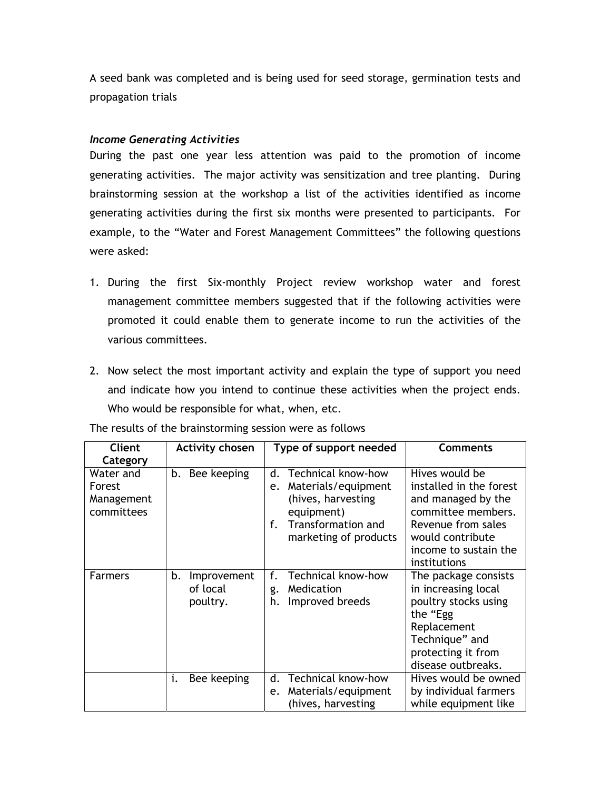A seed bank was completed and is being used for seed storage, germination tests and propagation trials

#### *Income Generating Activities*

During the past one year less attention was paid to the promotion of income generating activities. The major activity was sensitization and tree planting. During brainstorming session at the workshop a list of the activities identified as income generating activities during the first six months were presented to participants. For example, to the "Water and Forest Management Committees" the following questions were asked:

- 1. During the first Six-monthly Project review workshop water and forest management committee members suggested that if the following activities were promoted it could enable them to generate income to run the activities of the various committees.
- 2. Now select the most important activity and explain the type of support you need and indicate how you intend to continue these activities when the project ends. Who would be responsible for what, when, etc.

| <b>Client</b><br>Category                       | <b>Activity chosen</b>                    | Type of support needed                                                                                                                                  | <b>Comments</b>                                                                                                                                                          |
|-------------------------------------------------|-------------------------------------------|---------------------------------------------------------------------------------------------------------------------------------------------------------|--------------------------------------------------------------------------------------------------------------------------------------------------------------------------|
| Water and<br>Forest<br>Management<br>committees | b. Bee keeping                            | Technical know-how<br>d.<br>Materials/equipment<br>e.<br>(hives, harvesting<br>equipment)<br>Transformation and<br>$f_{\perp}$<br>marketing of products | Hives would be<br>installed in the forest<br>and managed by the<br>committee members.<br>Revenue from sales<br>would contribute<br>income to sustain the<br>institutions |
| <b>Farmers</b>                                  | b.<br>Improvement<br>of local<br>poultry. | Technical know-how<br>f.<br>Medication<br>g.<br>Improved breeds<br>h.                                                                                   | The package consists<br>in increasing local<br>poultry stocks using<br>the "Egg<br>Replacement<br>Technique" and<br>protecting it from<br>disease outbreaks.             |
|                                                 | Bee keeping<br>i.                         | Technical know-how<br>d.<br>Materials/equipment<br>e.<br>(hives, harvesting                                                                             | Hives would be owned<br>by individual farmers<br>while equipment like                                                                                                    |

The results of the brainstorming session were as follows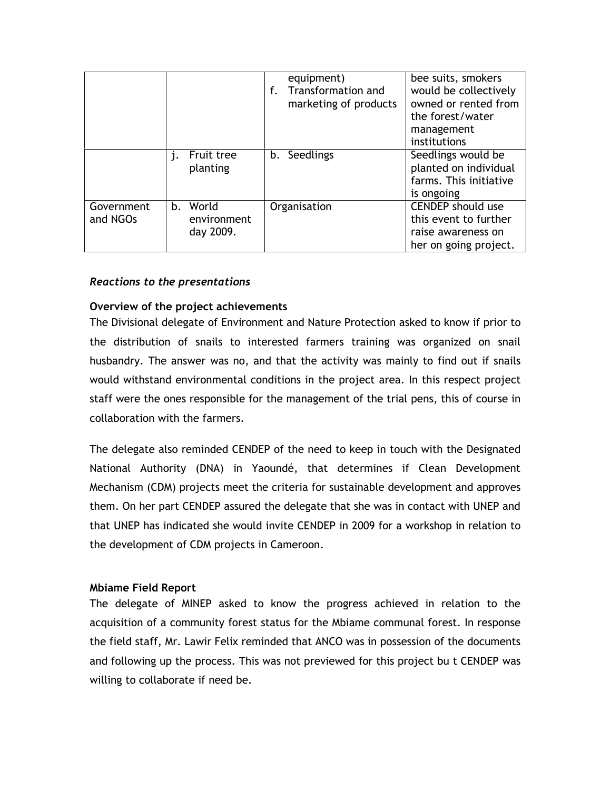|                        |                                      | equipment)<br>Transformation and<br>f.<br>marketing of products | bee suits, smokers<br>would be collectively<br>owned or rented from<br>the forest/water<br>management<br>institutions |
|------------------------|--------------------------------------|-----------------------------------------------------------------|-----------------------------------------------------------------------------------------------------------------------|
|                        | Fruit tree<br>planting               | b. Seedlings                                                    | Seedlings would be<br>planted on individual<br>farms. This initiative<br>is ongoing                                   |
| Government<br>and NGOs | b. World<br>environment<br>day 2009. | Organisation                                                    | <b>CENDEP</b> should use<br>this event to further<br>raise awareness on<br>her on going project.                      |

#### *Reactions to the presentations*

#### **Overview of the project achievements**

The Divisional delegate of Environment and Nature Protection asked to know if prior to the distribution of snails to interested farmers training was organized on snail husbandry. The answer was no, and that the activity was mainly to find out if snails would withstand environmental conditions in the project area. In this respect project staff were the ones responsible for the management of the trial pens, this of course in collaboration with the farmers.

The delegate also reminded CENDEP of the need to keep in touch with the Designated National Authority (DNA) in Yaoundé, that determines if Clean Development Mechanism (CDM) projects meet the criteria for sustainable development and approves them. On her part CENDEP assured the delegate that she was in contact with UNEP and that UNEP has indicated she would invite CENDEP in 2009 for a workshop in relation to the development of CDM projects in Cameroon.

#### **Mbiame Field Report**

The delegate of MINEP asked to know the progress achieved in relation to the acquisition of a community forest status for the Mbiame communal forest. In response the field staff, Mr. Lawir Felix reminded that ANCO was in possession of the documents and following up the process. This was not previewed for this project bu t CENDEP was willing to collaborate if need be.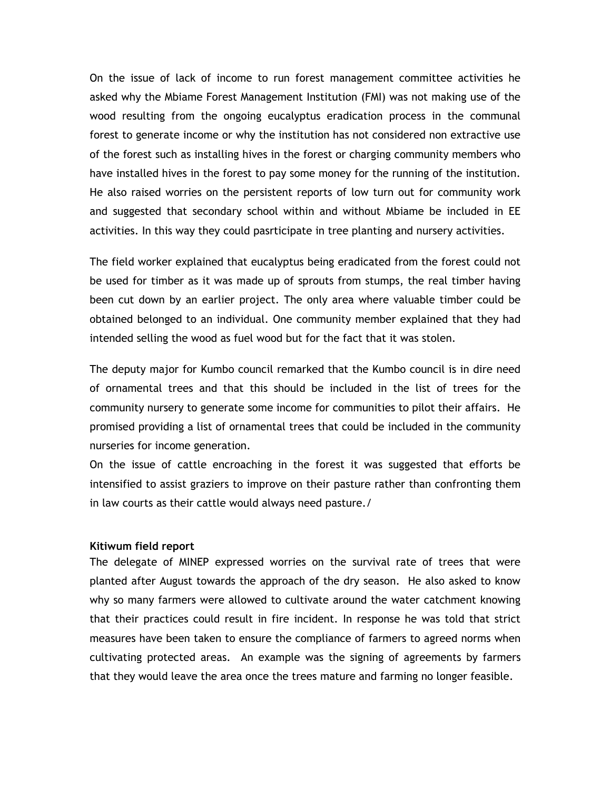On the issue of lack of income to run forest management committee activities he asked why the Mbiame Forest Management Institution (FMI) was not making use of the wood resulting from the ongoing eucalyptus eradication process in the communal forest to generate income or why the institution has not considered non extractive use of the forest such as installing hives in the forest or charging community members who have installed hives in the forest to pay some money for the running of the institution. He also raised worries on the persistent reports of low turn out for community work and suggested that secondary school within and without Mbiame be included in EE activities. In this way they could pasrticipate in tree planting and nursery activities.

The field worker explained that eucalyptus being eradicated from the forest could not be used for timber as it was made up of sprouts from stumps, the real timber having been cut down by an earlier project. The only area where valuable timber could be obtained belonged to an individual. One community member explained that they had intended selling the wood as fuel wood but for the fact that it was stolen.

The deputy major for Kumbo council remarked that the Kumbo council is in dire need of ornamental trees and that this should be included in the list of trees for the community nursery to generate some income for communities to pilot their affairs. He promised providing a list of ornamental trees that could be included in the community nurseries for income generation.

On the issue of cattle encroaching in the forest it was suggested that efforts be intensified to assist graziers to improve on their pasture rather than confronting them in law courts as their cattle would always need pasture./

#### **Kitiwum field report**

The delegate of MINEP expressed worries on the survival rate of trees that were planted after August towards the approach of the dry season. He also asked to know why so many farmers were allowed to cultivate around the water catchment knowing that their practices could result in fire incident. In response he was told that strict measures have been taken to ensure the compliance of farmers to agreed norms when cultivating protected areas. An example was the signing of agreements by farmers that they would leave the area once the trees mature and farming no longer feasible.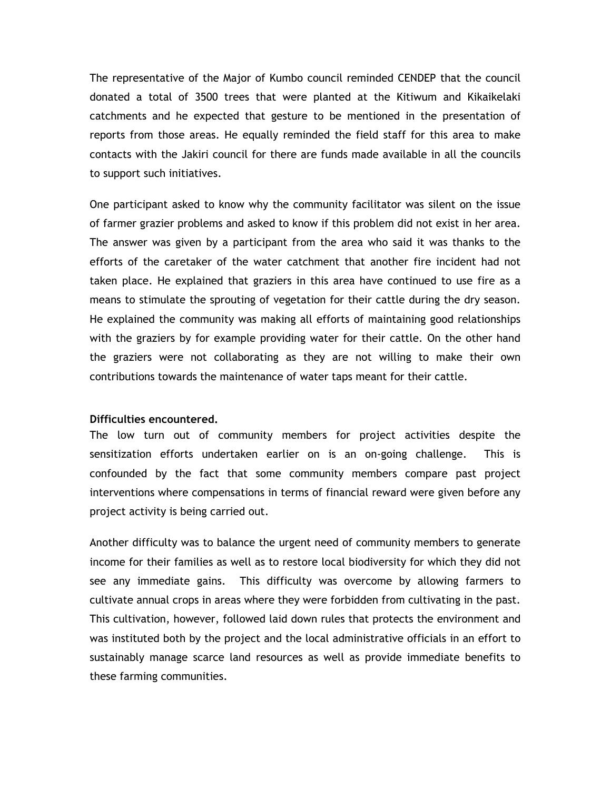The representative of the Major of Kumbo council reminded CENDEP that the council donated a total of 3500 trees that were planted at the Kitiwum and Kikaikelaki catchments and he expected that gesture to be mentioned in the presentation of reports from those areas. He equally reminded the field staff for this area to make contacts with the Jakiri council for there are funds made available in all the councils to support such initiatives.

One participant asked to know why the community facilitator was silent on the issue of farmer grazier problems and asked to know if this problem did not exist in her area. The answer was given by a participant from the area who said it was thanks to the efforts of the caretaker of the water catchment that another fire incident had not taken place. He explained that graziers in this area have continued to use fire as a means to stimulate the sprouting of vegetation for their cattle during the dry season. He explained the community was making all efforts of maintaining good relationships with the graziers by for example providing water for their cattle. On the other hand the graziers were not collaborating as they are not willing to make their own contributions towards the maintenance of water taps meant for their cattle.

#### **Difficulties encountered.**

The low turn out of community members for project activities despite the sensitization efforts undertaken earlier on is an on-going challenge. This is confounded by the fact that some community members compare past project interventions where compensations in terms of financial reward were given before any project activity is being carried out.

Another difficulty was to balance the urgent need of community members to generate income for their families as well as to restore local biodiversity for which they did not see any immediate gains. This difficulty was overcome by allowing farmers to cultivate annual crops in areas where they were forbidden from cultivating in the past. This cultivation, however, followed laid down rules that protects the environment and was instituted both by the project and the local administrative officials in an effort to sustainably manage scarce land resources as well as provide immediate benefits to these farming communities.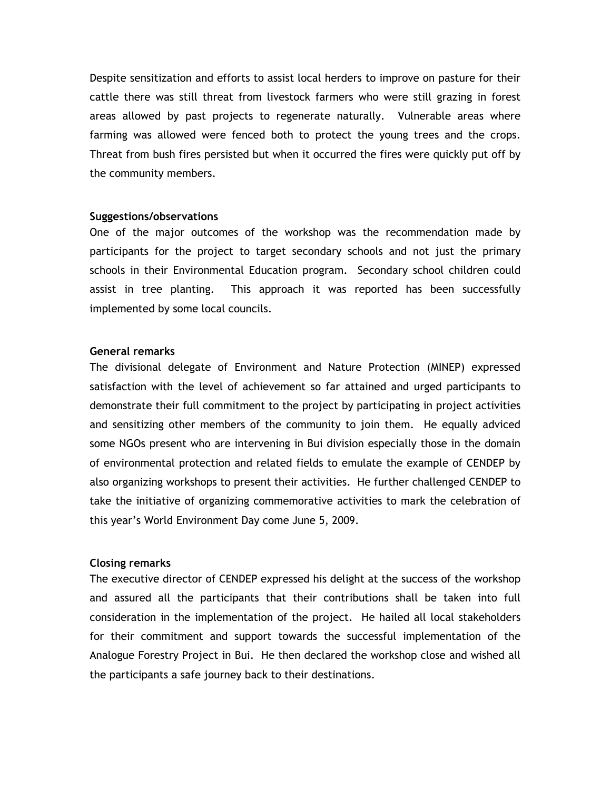Despite sensitization and efforts to assist local herders to improve on pasture for their cattle there was still threat from livestock farmers who were still grazing in forest areas allowed by past projects to regenerate naturally. Vulnerable areas where farming was allowed were fenced both to protect the young trees and the crops. Threat from bush fires persisted but when it occurred the fires were quickly put off by the community members.

#### **Suggestions/observations**

One of the major outcomes of the workshop was the recommendation made by participants for the project to target secondary schools and not just the primary schools in their Environmental Education program. Secondary school children could assist in tree planting. This approach it was reported has been successfully implemented by some local councils.

#### **General remarks**

The divisional delegate of Environment and Nature Protection (MINEP) expressed satisfaction with the level of achievement so far attained and urged participants to demonstrate their full commitment to the project by participating in project activities and sensitizing other members of the community to join them. He equally adviced some NGOs present who are intervening in Bui division especially those in the domain of environmental protection and related fields to emulate the example of CENDEP by also organizing workshops to present their activities. He further challenged CENDEP to take the initiative of organizing commemorative activities to mark the celebration of this year's World Environment Day come June 5, 2009.

#### **Closing remarks**

The executive director of CENDEP expressed his delight at the success of the workshop and assured all the participants that their contributions shall be taken into full consideration in the implementation of the project. He hailed all local stakeholders for their commitment and support towards the successful implementation of the Analogue Forestry Project in Bui. He then declared the workshop close and wished all the participants a safe journey back to their destinations.